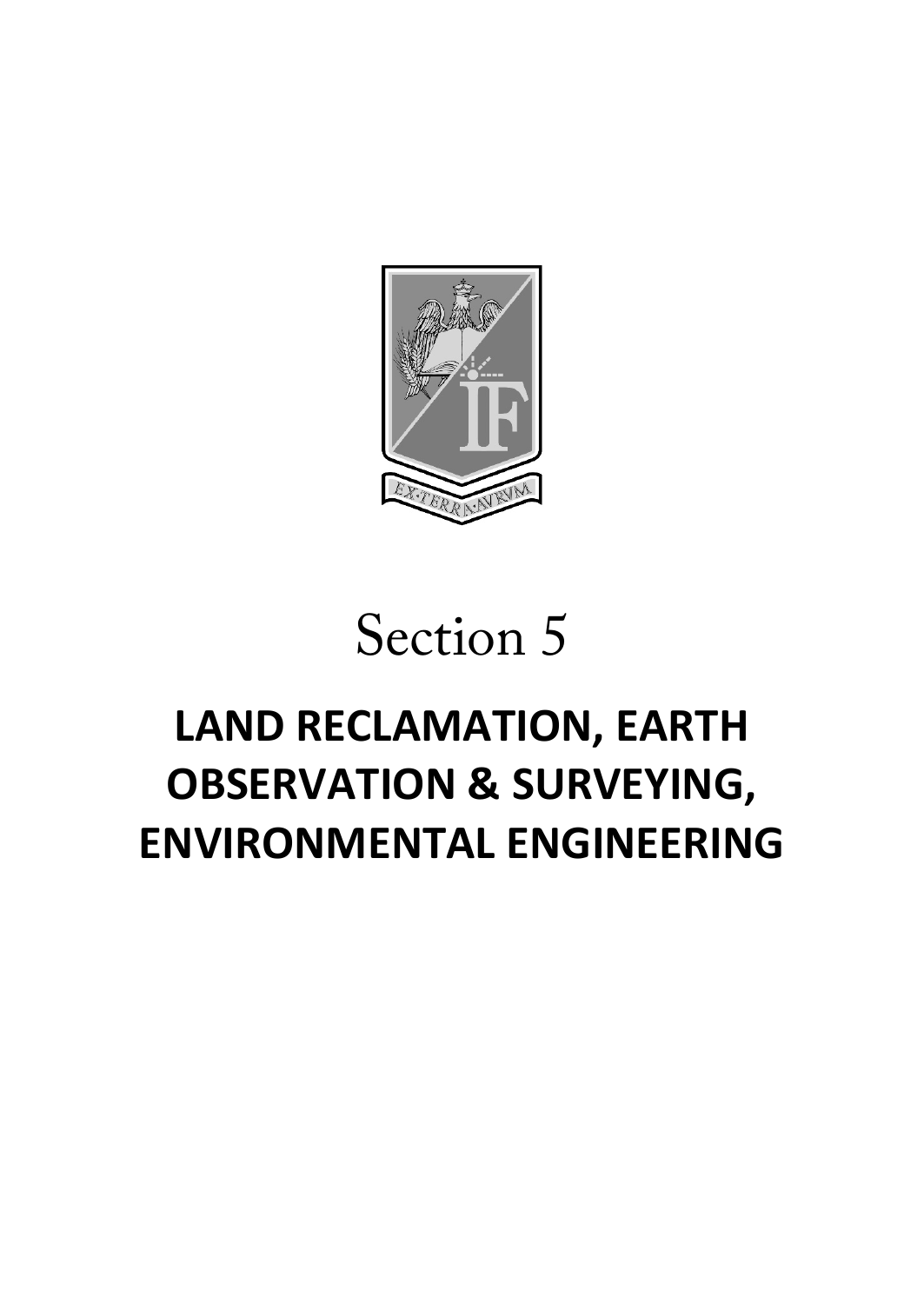

# Section 5

# **LAND RECLAMATION, EARTH OBSERVATION & SURVEYING, ENVIRONMENTAL ENGINEERING**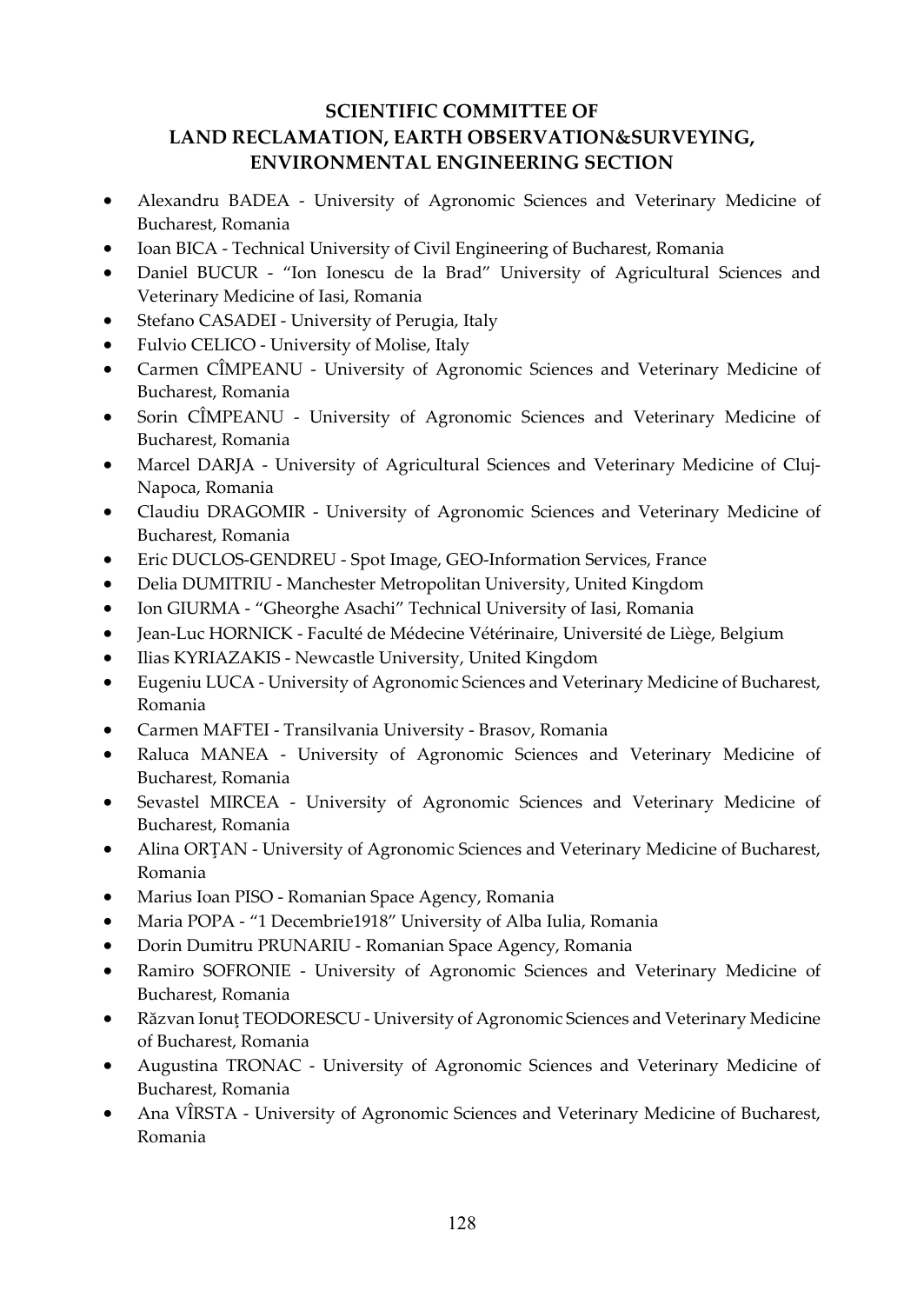#### **SCIENTIFIC COMMITTEE OF LAND RECLAMATION, EARTH OBSERVATION&SURVEYING, ENVIRONMENTAL ENGINEERING SECTION**

- Alexandru BADEA University of Agronomic Sciences and Veterinary Medicine of Bucharest, Romania
- Ioan BICA Technical University of Civil Engineering of Bucharest, Romania
- Daniel BUCUR "Ion Ionescu de la Brad" University of Agricultural Sciences and Veterinary Medicine of Iasi, Romania
- Stefano CASADEI University of Perugia, Italy
- Fulvio CELICO University of Molise, Italy
- Carmen CÎMPEANU University of Agronomic Sciences and Veterinary Medicine of Bucharest, Romania
- Sorin CÎMPEANU University of Agronomic Sciences and Veterinary Medicine of Bucharest, Romania
- Marcel DARJA University of Agricultural Sciences and Veterinary Medicine of Cluj-Napoca, Romania
- Claudiu DRAGOMIR University of Agronomic Sciences and Veterinary Medicine of Bucharest, Romania
- Eric DUCLOS-GENDREU Spot Image, GEO-Information Services, France
- Delia DUMITRIU Manchester Metropolitan University, United Kingdom
- Ion GIURMA "Gheorghe Asachi" Technical University of Iasi, Romania
- Jean-Luc HORNICK Faculté de Médecine Vétérinaire, Université de Liège, Belgium
- Ilias KYRIAZAKIS Newcastle University, United Kingdom
- Eugeniu LUCA University of Agronomic Sciences and Veterinary Medicine of Bucharest, Romania
- Carmen MAFTEI Transilvania University Brasov, Romania
- Raluca MANEA University of Agronomic Sciences and Veterinary Medicine of Bucharest, Romania
- Sevastel MIRCEA University of Agronomic Sciences and Veterinary Medicine of Bucharest, Romania
- Alina ORŢAN University of Agronomic Sciences and Veterinary Medicine of Bucharest, Romania
- Marius Ioan PISO Romanian Space Agency, Romania
- Maria POPA "1 Decembrie1918" University of Alba Iulia, Romania
- Dorin Dumitru PRUNARIU Romanian Space Agency, Romania
- Ramiro SOFRONIE University of Agronomic Sciences and Veterinary Medicine of Bucharest, Romania
- Răzvan Ionuţ TEODORESCU University of Agronomic Sciences and Veterinary Medicine of Bucharest, Romania
- Augustina TRONAC University of Agronomic Sciences and Veterinary Medicine of Bucharest, Romania
- Ana VÎRSTA University of Agronomic Sciences and Veterinary Medicine of Bucharest, Romania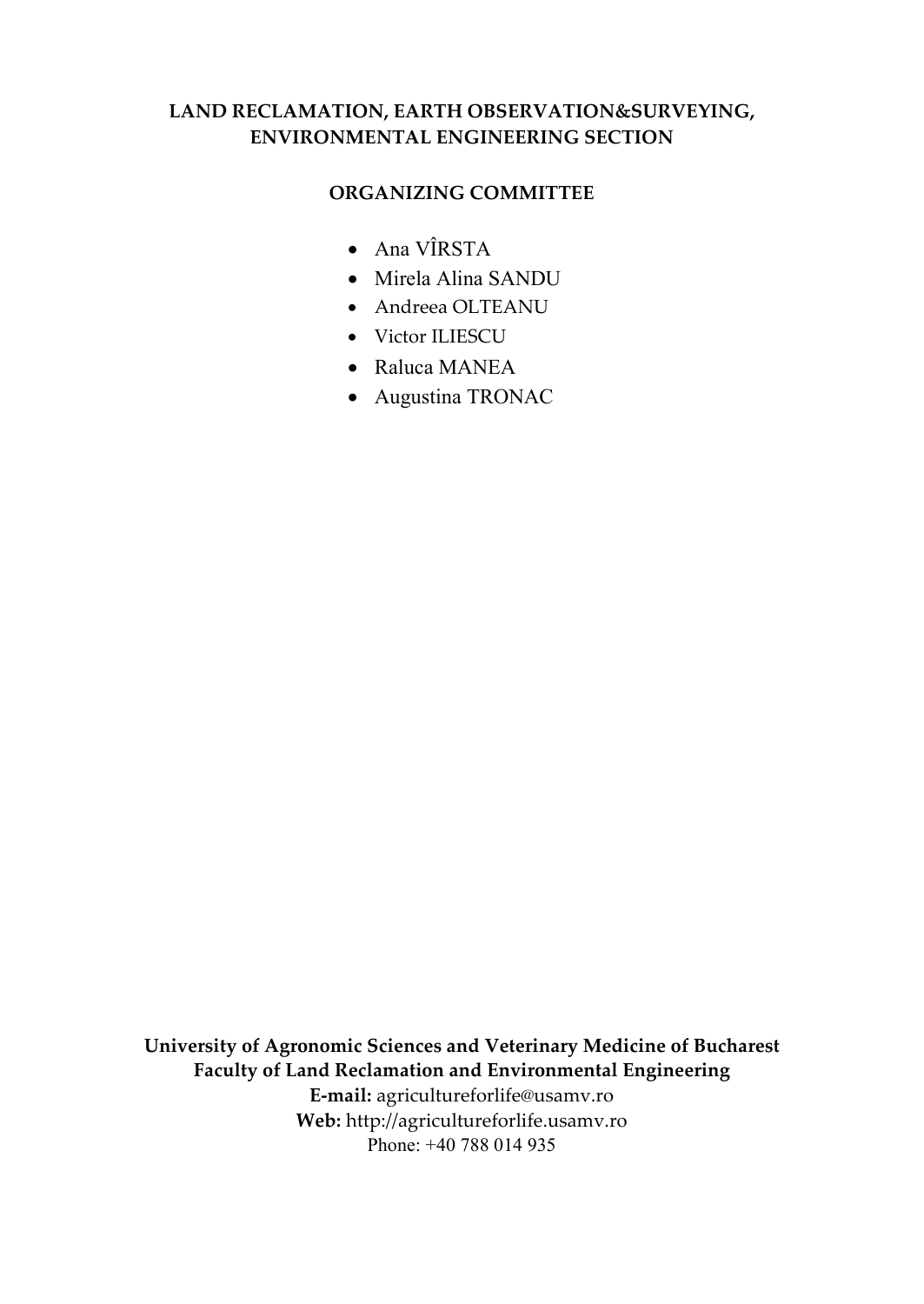#### **LAND RECLAMATION, EARTH OBSERVATION&SURVEYING, ENVIRONMENTAL ENGINEERING SECTION**

#### **ORGANIZING COMMITTEE**

- Ana VÎRSTA
- Mirela Alina SANDU
- Andreea OLTEANU
- Victor ILIESCU
- Raluca MANEA
- Augustina TRONAC

**University of Agronomic Sciences and Veterinary Medicine of Bucharest Faculty of Land Reclamation and Environmental Engineering E-mail:** [agricultureforlife@usamv.ro](mailto:agricultureforlife@usamv.ro) **Web:** [http://agricultureforlife.usamv.ro](http://agricultureforlife.usamv.ro/) Phone: +40 788 014 935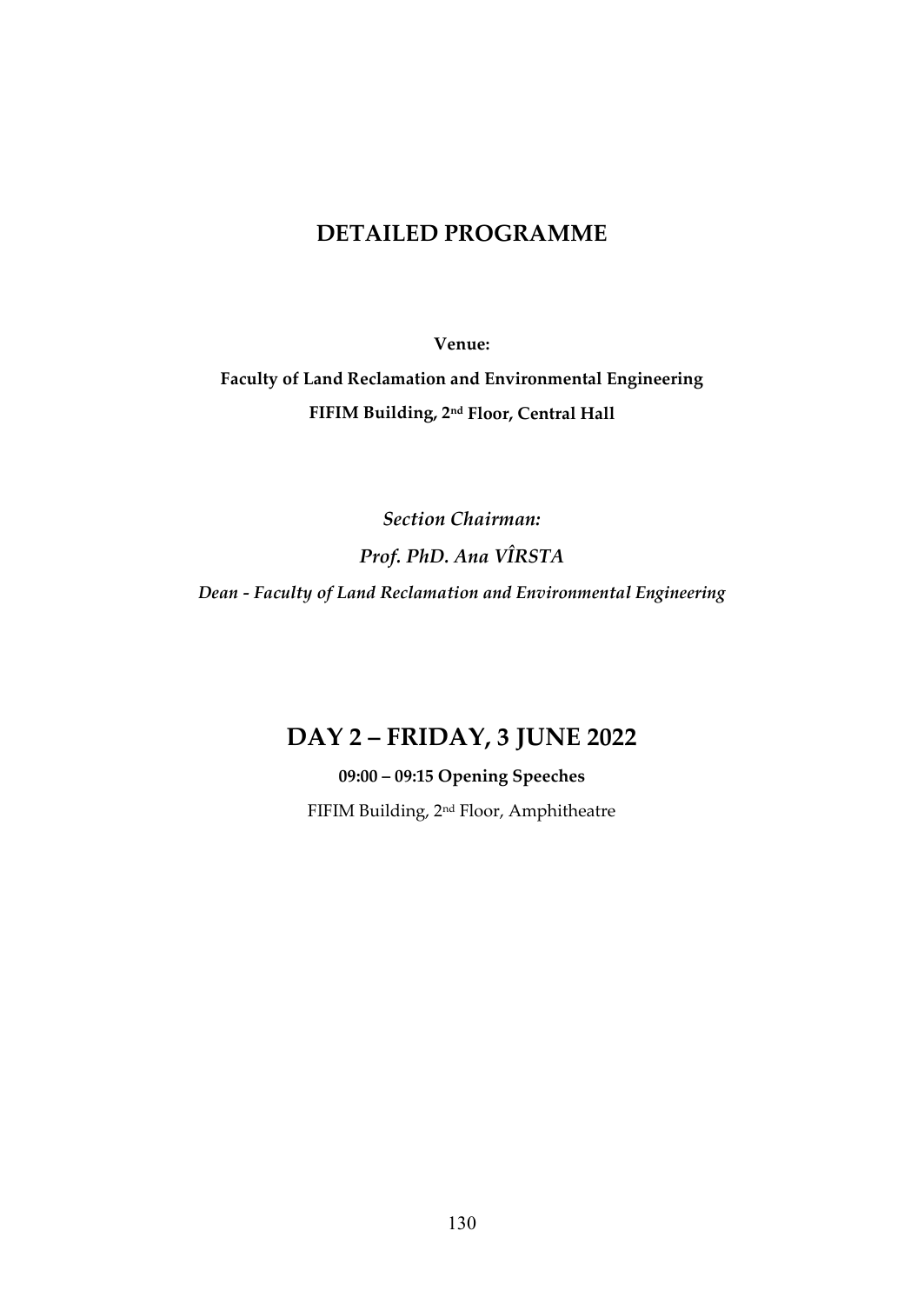#### **DETAILED PROGRAMME**

**Venue:** 

**Faculty of Land Reclamation and Environmental Engineering FIFIM Building, 2nd Floor, Central Hall**

*Section Chairman: Prof. PhD. Ana VÎRSTA Dean - Faculty of Land Reclamation and Environmental Engineering*

# **DAY 2 – FRIDAY, 3 JUNE 2022**

**09:00 – 09:15 Opening Speeches**

FIFIM Building, 2nd Floor, Amphitheatre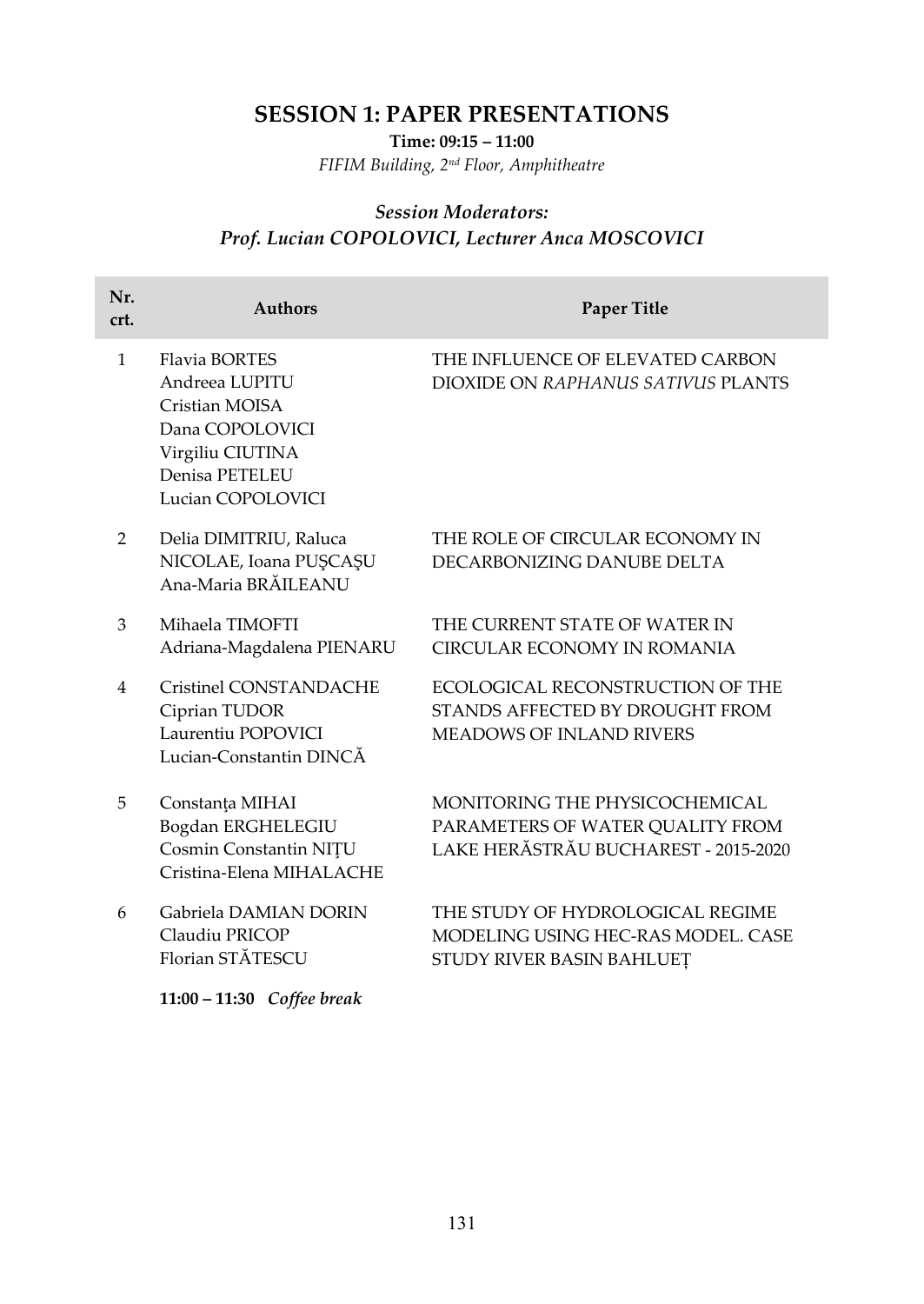# **SESSION 1: PAPER PRESENTATIONS**

**Time: 09:15 – 11:00** 

*FIFIM Building, 2nd Floor, Amphitheatre*

#### *Session Moderators: Prof. Lucian COPOLOVICI, Lecturer Anca MOSCOVICI*

| Nr.<br>crt.  | <b>Authors</b>                                                                                                                         | <b>Paper Title</b>                                                                                         |
|--------------|----------------------------------------------------------------------------------------------------------------------------------------|------------------------------------------------------------------------------------------------------------|
| $\mathbf{1}$ | <b>Flavia BORTES</b><br>Andreea LUPITU<br>Cristian MOISA<br>Dana COPOLOVICI<br>Virgiliu CIUTINA<br>Denisa PETELEU<br>Lucian COPOLOVICI | THE INFLUENCE OF ELEVATED CARBON<br>DIOXIDE ON RAPHANUS SATIVUS PLANTS                                     |
| 2            | Delia DIMITRIU, Raluca<br>NICOLAE, Ioana PUȘCAȘU<br>Ana-Maria BRĂILEANU                                                                | THE ROLE OF CIRCULAR ECONOMY IN<br>DECARBONIZING DANUBE DELTA                                              |
| 3            | Mihaela TIMOFTI<br>Adriana-Magdalena PIENARU                                                                                           | THE CURRENT STATE OF WATER IN<br><b>CIRCULAR ECONOMY IN ROMANIA</b>                                        |
| 4            | Cristinel CONSTANDACHE<br>Ciprian TUDOR<br>Laurentiu POPOVICI<br>Lucian-Constantin DINCĂ                                               | ECOLOGICAL RECONSTRUCTION OF THE<br>STANDS AFFECTED BY DROUGHT FROM<br><b>MEADOWS OF INLAND RIVERS</b>     |
| 5            | Constanța MIHAI<br>Bogdan ERGHELEGIU<br>Cosmin Constantin NITU<br>Cristina-Elena MIHALACHE                                             | MONITORING THE PHYSICOCHEMICAL<br>PARAMETERS OF WATER QUALITY FROM<br>LAKE HERĂSTRĂU BUCHAREST - 2015-2020 |
| 6            | Gabriela DAMIAN DORIN<br>Claudiu PRICOP<br>Florian STĂTESCU<br>11:00 - 11:30 Coffee break                                              | THE STUDY OF HYDROLOGICAL REGIME<br>MODELING USING HEC-RAS MODEL, CASE<br>STUDY RIVER BASIN BAHLUEȚ        |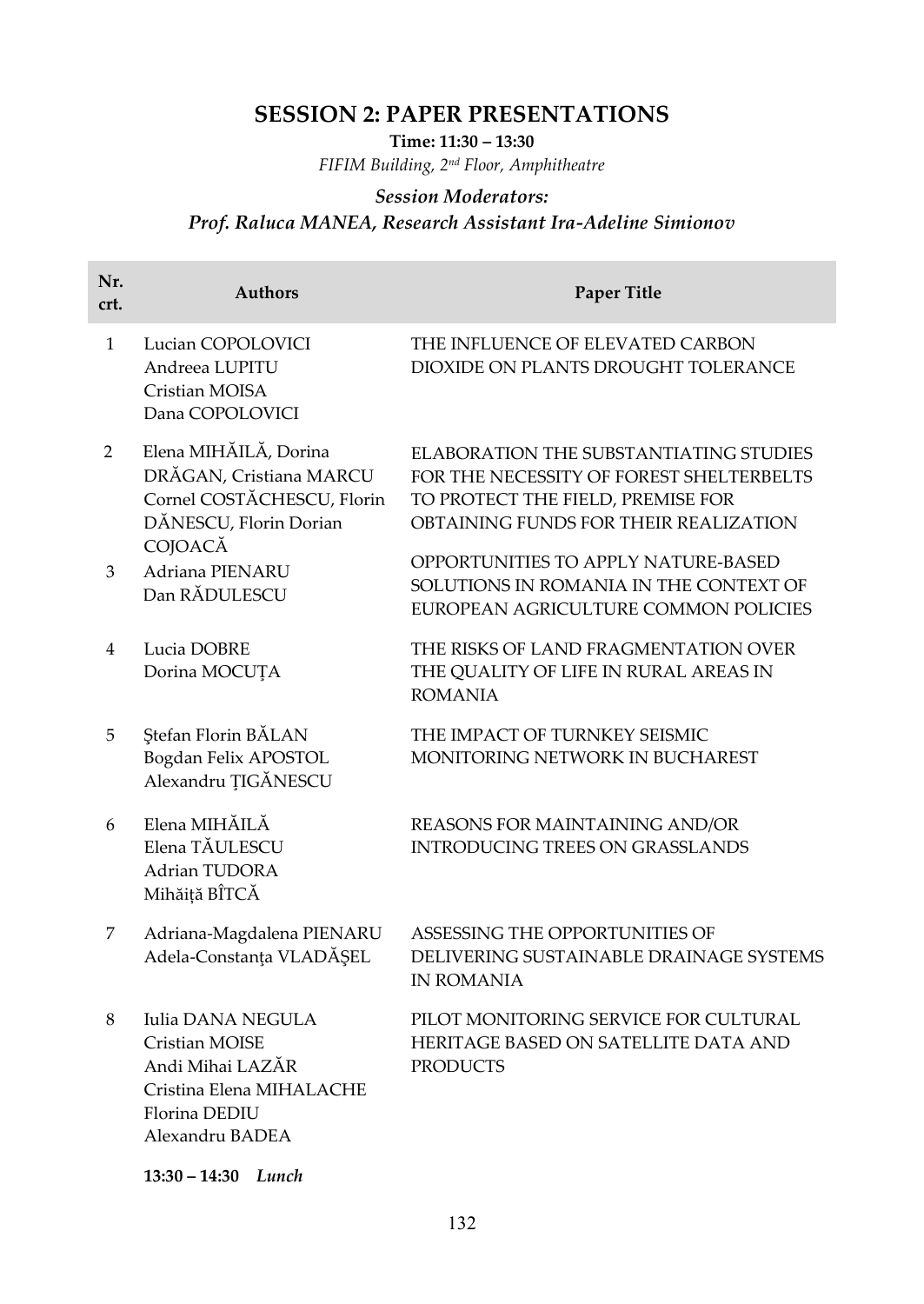# **SESSION 2: PAPER PRESENTATIONS**

**Time: 11:30 – 13:30** 

*FIFIM Building, 2nd Floor, Amphitheatre*

#### *Session Moderators:*

# *Prof. Raluca MANEA, Research Assistant Ira-Adeline Simionov*

| Nr.<br>crt.    | <b>Authors</b>                                                                                                          | <b>Paper Title</b>                                                                                                                                                      |
|----------------|-------------------------------------------------------------------------------------------------------------------------|-------------------------------------------------------------------------------------------------------------------------------------------------------------------------|
| $\mathbf{1}$   | Lucian COPOLOVICI<br>Andreea LUPITU<br>Cristian MOISA<br>Dana COPOLOVICI                                                | THE INFLUENCE OF ELEVATED CARBON<br>DIOXIDE ON PLANTS DROUGHT TOLERANCE                                                                                                 |
| $\overline{2}$ | Elena MIHĂILĂ, Dorina<br>DRĂGAN, Cristiana MARCU<br>Cornel COSTĂCHESCU, Florin<br>DĂNESCU, Florin Dorian<br>COJOACĂ     | <b>ELABORATION THE SUBSTANTIATING STUDIES</b><br>FOR THE NECESSITY OF FOREST SHELTERBELTS<br>TO PROTECT THE FIELD, PREMISE FOR<br>OBTAINING FUNDS FOR THEIR REALIZATION |
| 3              | Adriana PIENARU<br>Dan RĂDULESCU                                                                                        | OPPORTUNITIES TO APPLY NATURE-BASED<br>SOLUTIONS IN ROMANIA IN THE CONTEXT OF<br>EUROPEAN AGRICULTURE COMMON POLICIES                                                   |
| 4              | Lucia DOBRE<br>Dorina MOCUȚA                                                                                            | THE RISKS OF LAND FRAGMENTATION OVER<br>THE QUALITY OF LIFE IN RURAL AREAS IN<br><b>ROMANIA</b>                                                                         |
| 5              | Ştefan Florin BALAN<br>Bogdan Felix APOSTOL<br>Alexandru <b>TIGĂNESCU</b>                                               | THE IMPACT OF TURNKEY SEISMIC<br>MONITORING NETWORK IN BUCHAREST                                                                                                        |
| 6              | Elena MIHĂILĂ<br>Elena TĂULESCU<br>Adrian TUDORA<br>Mihăiță BÎTCĂ                                                       | REASONS FOR MAINTAINING AND/OR<br><b>INTRODUCING TREES ON GRASSLANDS</b>                                                                                                |
| 7              | Adriana-Magdalena PIENARU<br>Adela-Constanța VLADĂȘEL                                                                   | ASSESSING THE OPPORTUNITIES OF<br>DELIVERING SUSTAINABLE DRAINAGE SYSTEMS<br><b>IN ROMANIA</b>                                                                          |
| 8              | Iulia DANA NEGULA<br>Cristian MOISE<br>Andi Mihai LAZÁR<br>Cristina Elena MIHALACHE<br>Florina DEDIU<br>Alexandru BADEA | PILOT MONITORING SERVICE FOR CULTURAL<br>HERITAGE BASED ON SATELLITE DATA AND<br><b>PRODUCTS</b>                                                                        |
|                | $13:30 - 14:30$ Lunch                                                                                                   |                                                                                                                                                                         |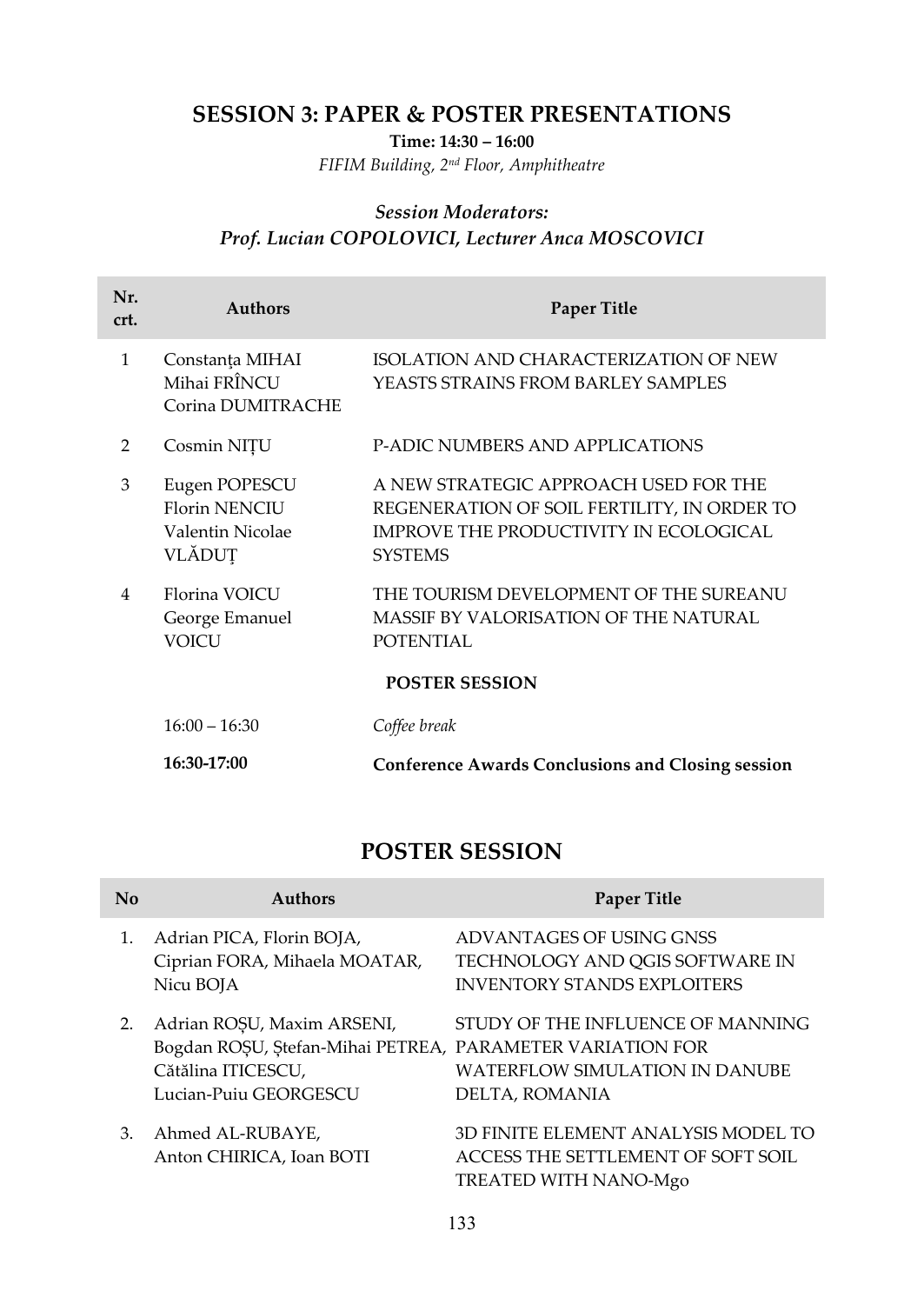## **SESSION 3: PAPER & POSTER PRESENTATIONS**

**Time: 14:30 – 16:00**

*FIFIM Building, 2nd Floor, Amphitheatre*

#### *Session Moderators: Prof. Lucian COPOLOVICI, Lecturer Anca MOSCOVICI*

| Nr.<br>crt.   | <b>Authors</b>                                                      | <b>Paper Title</b>                                                                                                                                      |
|---------------|---------------------------------------------------------------------|---------------------------------------------------------------------------------------------------------------------------------------------------------|
| $\mathbf{1}$  | Constanța MIHAI<br>Mihai FRÎNCU<br>Corina DUMITRACHE                | ISOLATION AND CHARACTERIZATION OF NEW<br>YEASTS STRAINS FROM BARLEY SAMPLES                                                                             |
| $\mathcal{P}$ | Cosmin NIȚU                                                         | <b>P-ADIC NUMBERS AND APPLICATIONS</b>                                                                                                                  |
| 3             | Eugen POPESCU<br><b>Florin NENCIU</b><br>Valentin Nicolae<br>VLĂDUT | A NEW STRATEGIC APPROACH USED FOR THE<br>REGENERATION OF SOIL FERTILITY, IN ORDER TO<br><b>IMPROVE THE PRODUCTIVITY IN ECOLOGICAL</b><br><b>SYSTEMS</b> |
| 4             | Florina VOICU<br>George Emanuel<br><b>VOICU</b>                     | THE TOURISM DEVELOPMENT OF THE SUREANU<br>MASSIF BY VALORISATION OF THE NATURAL<br><b>POTENTIAL</b>                                                     |
|               |                                                                     | <b>POSTER SESSION</b>                                                                                                                                   |
|               | $16:00 - 16:30$                                                     | Coffee break                                                                                                                                            |
|               | 16:30-17:00                                                         | <b>Conference Awards Conclusions and Closing session</b>                                                                                                |

# **POSTER SESSION**

| No | <b>Authors</b>                                                                                                 | <b>Paper Title</b>                                                                                                      |
|----|----------------------------------------------------------------------------------------------------------------|-------------------------------------------------------------------------------------------------------------------------|
|    | Adrian PICA, Florin BOJA,<br>Ciprian FORA, Mihaela MOATAR,<br>Nicu BOJA                                        | ADVANTAGES OF USING GNSS<br>TECHNOLOGY AND QGIS SOFTWARE IN<br><b>INVENTORY STANDS EXPLOITERS</b>                       |
| 2. | Adrian ROSU, Maxim ARSENI,<br>Bogdan ROȘU, Ștefan-Mihai PETREA,<br>Cătălina ITICESCU,<br>Lucian-Puiu GEORGESCU | STUDY OF THE INFLUENCE OF MANNING<br>PARAMETER VARIATION FOR<br><b>WATERFLOW SIMULATION IN DANUBE</b><br>DELTA, ROMANIA |
| 3. | Ahmed AL-RUBAYE,<br>Anton CHIRICA, Ioan BOTI                                                                   | 3D FINITE ELEMENT ANALYSIS MODEL TO<br>ACCESS THE SETTLEMENT OF SOFT SOIL<br>TREATED WITH NANO-Mgo                      |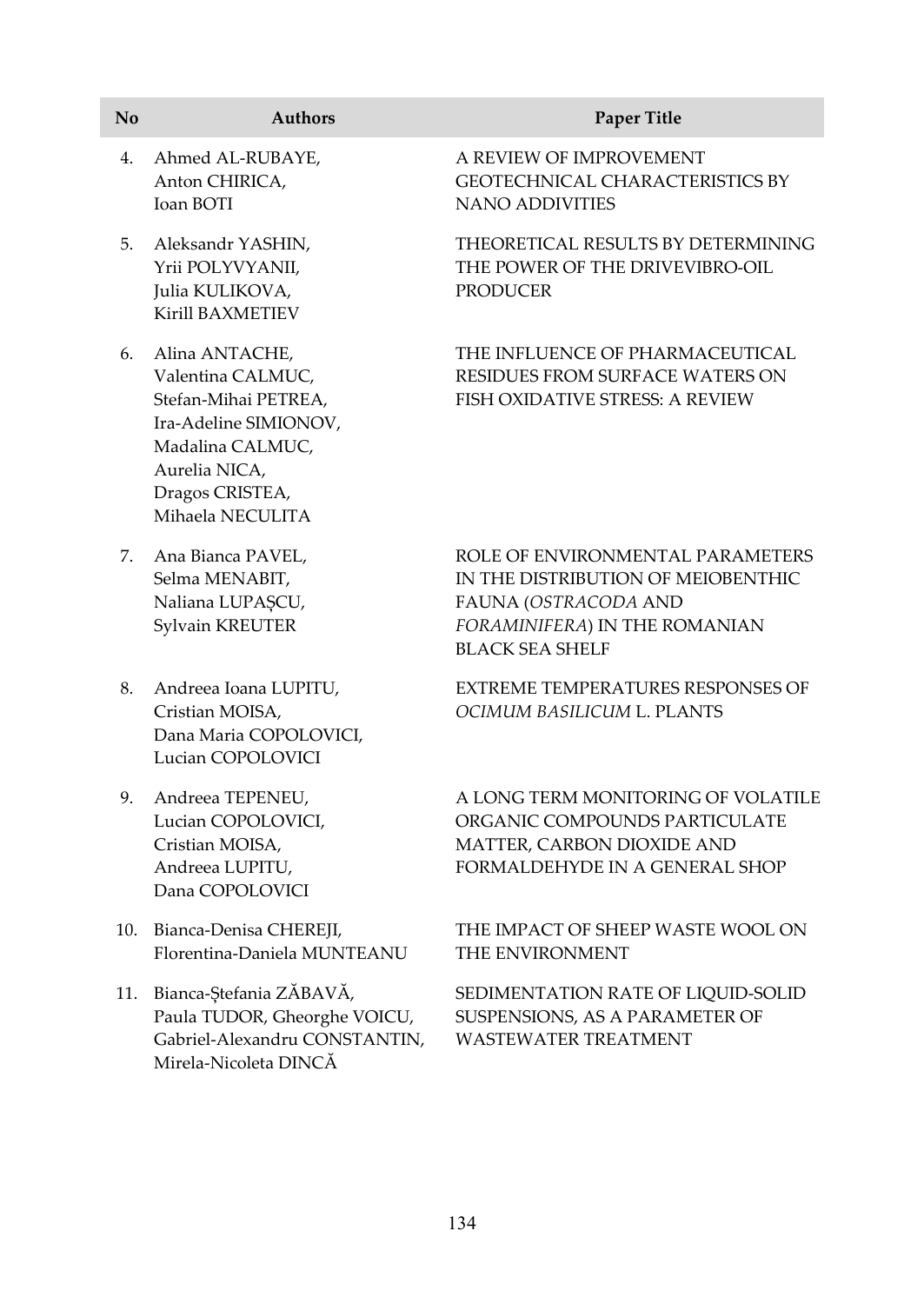| No  | <b>Authors</b>                                                                                                                                                   | <b>Paper Title</b>                                                                                                                                        |
|-----|------------------------------------------------------------------------------------------------------------------------------------------------------------------|-----------------------------------------------------------------------------------------------------------------------------------------------------------|
| 4.  | Ahmed AL-RUBAYE,<br>Anton CHIRICA,<br>Ioan BOTI                                                                                                                  | A REVIEW OF IMPROVEMENT<br><b>GEOTECHNICAL CHARACTERISTICS BY</b><br><b>NANO ADDIVITIES</b>                                                               |
| 5.  | Aleksandr YASHIN,<br>Yrii POLYVYANII,<br>Julia KULIKOVA,<br>Kirill BAXMETIEV                                                                                     | THEORETICAL RESULTS BY DETERMINING<br>THE POWER OF THE DRIVEVIBRO-OIL<br><b>PRODUCER</b>                                                                  |
| 6.  | Alina ANTACHE,<br>Valentina CALMUC,<br>Stefan-Mihai PETREA,<br>Ira-Adeline SIMIONOV,<br>Madalina CALMUC,<br>Aurelia NICA,<br>Dragos CRISTEA,<br>Mihaela NECULITA | THE INFLUENCE OF PHARMACEUTICAL<br>RESIDUES FROM SURFACE WATERS ON<br><b>FISH OXIDATIVE STRESS: A REVIEW</b>                                              |
| 7.  | Ana Bianca PAVEL,<br>Selma MENABIT,<br>Naliana LUPAȘCU,<br>Sylvain KREUTER                                                                                       | ROLE OF ENVIRONMENTAL PARAMETERS<br>IN THE DISTRIBUTION OF MEIOBENTHIC<br>FAUNA (OSTRACODA AND<br>FORAMINIFERA) IN THE ROMANIAN<br><b>BLACK SEA SHELF</b> |
| 8.  | Andreea Ioana LUPITU,<br>Cristian MOISA,<br>Dana Maria COPOLOVICI,<br>Lucian COPOLOVICI                                                                          | EXTREME TEMPERATURES RESPONSES OF<br>OCIMUM BASILICUM L. PLANTS                                                                                           |
| 9.  | Andreea TEPENEU,<br>Lucian COPOLOVICI,<br>Cristian MOISA,<br>Andreea LUPITU,<br>Dana COPOLOVICI                                                                  | A LONG TERM MONITORING OF VOLATILE<br>ORGANIC COMPOUNDS PARTICULATE<br>MATTER, CARBON DIOXIDE AND<br>FORMALDEHYDE IN A GENERAL SHOP                       |
| 10. | Bianca-Denisa CHEREJI,                                                                                                                                           | THE IMPACT OF SHEEP WASTE WOOL ON                                                                                                                         |

11. Bianca-Ștefania ZĂBAVĂ, Paula TUDOR, Gheorghe VOICU, Gabriel-Alexandru CONSTANTIN, Mirela-Nicoleta DINCĂ

Florentina-Daniela MUNTEANU

SEDIMENTATION RATE OF LIQUID-SOLID SUSPENSIONS, AS A PARAMETER OF WASTEWATER TREATMENT

THE ENVIRONMENT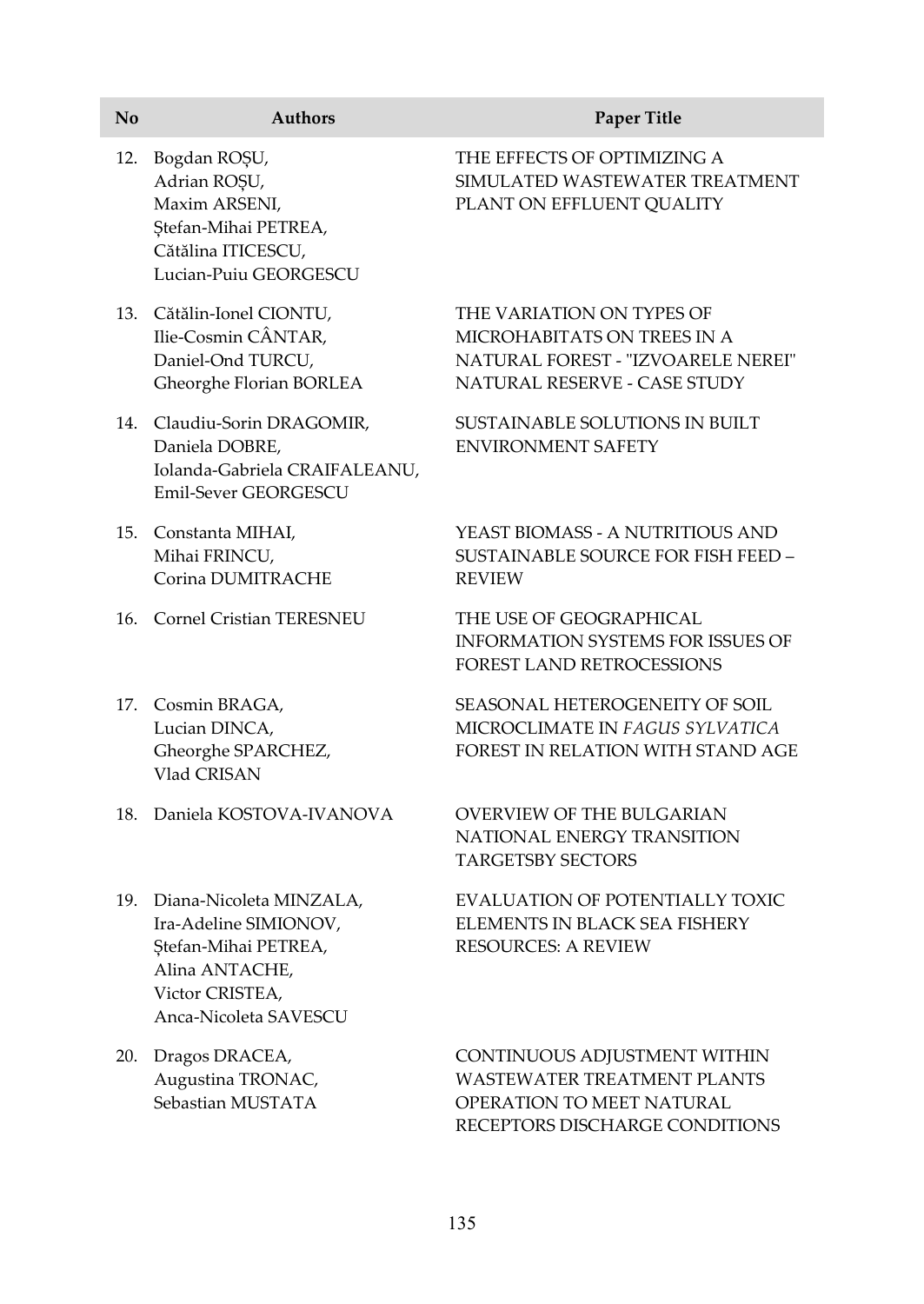| No  | <b>Authors</b>                                                                                                                             | <b>Paper Title</b>                                                                                                                |
|-----|--------------------------------------------------------------------------------------------------------------------------------------------|-----------------------------------------------------------------------------------------------------------------------------------|
| 12. | Bogdan ROȘU,<br>Adrian ROȘU,<br>Maxim ARSENI,<br>Ștefan-Mihai PETREA,<br>Cătălina ITICESCU,<br>Lucian-Puiu GEORGESCU                       | THE EFFECTS OF OPTIMIZING A<br>SIMULATED WASTEWATER TREATMENT<br>PLANT ON EFFLUENT QUALITY                                        |
|     | 13. Cătălin-Ionel CIONTU,<br>Ilie-Cosmin CÂNTAR,<br>Daniel-Ond TURCU,<br>Gheorghe Florian BORLEA                                           | THE VARIATION ON TYPES OF<br>MICROHABITATS ON TREES IN A<br>NATURAL FOREST - "IZVOARELE NEREI"<br>NATURAL RESERVE - CASE STUDY    |
|     | 14. Claudiu-Sorin DRAGOMIR,<br>Daniela DOBRE,<br>Iolanda-Gabriela CRAIFALEANU,<br><b>Emil-Sever GEORGESCU</b>                              | SUSTAINABLE SOLUTIONS IN BUILT<br><b>ENVIRONMENT SAFETY</b>                                                                       |
|     | 15. Constanta MIHAI,<br>Mihai FRINCU,<br>Corina DUMITRACHE                                                                                 | YEAST BIOMASS - A NUTRITIOUS AND<br>SUSTAINABLE SOURCE FOR FISH FEED -<br><b>REVIEW</b>                                           |
| 16. | Cornel Cristian TERESNEU                                                                                                                   | THE USE OF GEOGRAPHICAL<br><b>INFORMATION SYSTEMS FOR ISSUES OF</b><br>FOREST LAND RETROCESSIONS                                  |
|     | 17. Cosmin BRAGA,<br>Lucian DINCA,<br>Gheorghe SPARCHEZ,<br>Vlad CRISAN                                                                    | SEASONAL HETEROGENEITY OF SOIL<br>MICROCLIMATE IN FAGUS SYLVATICA<br>FOREST IN RELATION WITH STAND AGE                            |
| 18. | Daniela KOSTOVA-IVANOVA                                                                                                                    | <b>OVERVIEW OF THE BULGARIAN</b><br>NATIONAL ENERGY TRANSITION<br><b>TARGETSBY SECTORS</b>                                        |
|     | 19. Diana-Nicoleta MINZALA,<br>Ira-Adeline SIMIONOV,<br>Ștefan-Mihai PETREA,<br>Alina ANTACHE,<br>Victor CRISTEA,<br>Anca-Nicoleta SAVESCU | EVALUATION OF POTENTIALLY TOXIC<br>ELEMENTS IN BLACK SEA FISHERY<br><b>RESOURCES: A REVIEW</b>                                    |
|     | 20. Dragos DRACEA,<br>Augustina TRONAC,<br>Sebastian MUSTATA                                                                               | CONTINUOUS ADJUSTMENT WITHIN<br><b>WASTEWATER TREATMENT PLANTS</b><br>OPERATION TO MEET NATURAL<br>RECEPTORS DISCHARGE CONDITIONS |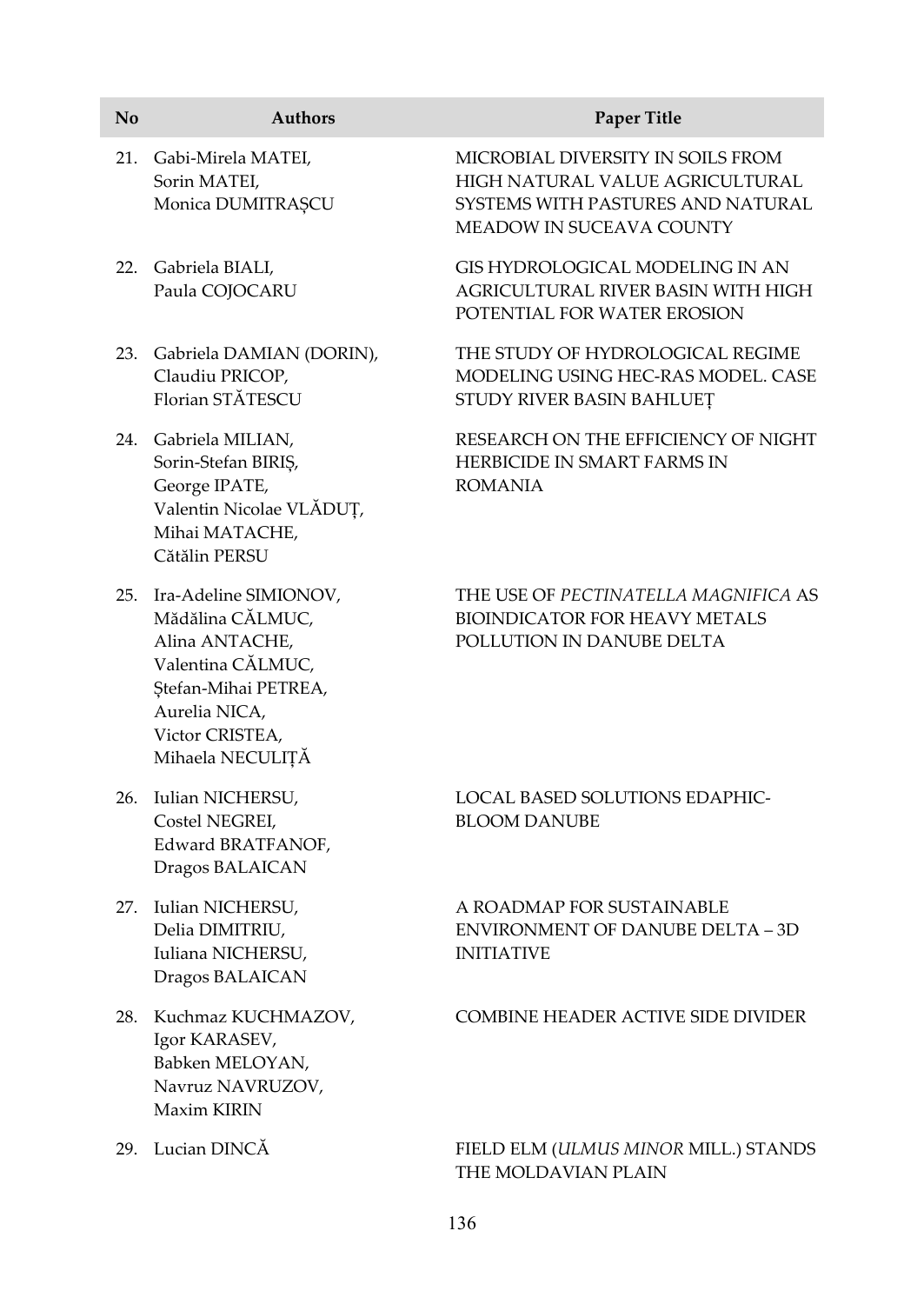| No  | <b>Authors</b>                                                                                                                                                       | <b>Paper Title</b>                                                                                                                    |
|-----|----------------------------------------------------------------------------------------------------------------------------------------------------------------------|---------------------------------------------------------------------------------------------------------------------------------------|
|     | 21. Gabi-Mirela MATEI,<br>Sorin MATEI,<br>Monica DUMITRAȘCU                                                                                                          | MICROBIAL DIVERSITY IN SOILS FROM<br>HIGH NATURAL VALUE AGRICULTURAL<br>SYSTEMS WITH PASTURES AND NATURAL<br>MEADOW IN SUCEAVA COUNTY |
|     | 22. Gabriela BIALI,<br>Paula COJOCARU                                                                                                                                | GIS HYDROLOGICAL MODELING IN AN<br>AGRICULTURAL RIVER BASIN WITH HIGH<br>POTENTIAL FOR WATER EROSION                                  |
|     | 23. Gabriela DAMIAN (DORIN),<br>Claudiu PRICOP,<br>Florian STĂTESCU                                                                                                  | THE STUDY OF HYDROLOGICAL REGIME<br>MODELING USING HEC-RAS MODEL. CASE<br>STUDY RIVER BASIN BAHLUEȚ                                   |
|     | 24. Gabriela MILIAN,<br>Sorin-Stefan BIRIŞ,<br>George IPATE,<br>Valentin Nicolae VLĂDUȚ,<br>Mihai MATACHE,<br>Cătălin PERSU                                          | RESEARCH ON THE EFFICIENCY OF NIGHT<br>HERBICIDE IN SMART FARMS IN<br><b>ROMANIA</b>                                                  |
|     | 25. Ira-Adeline SIMIONOV,<br>Mădălina CĂLMUC,<br>Alina ANTACHE,<br>Valentina CĂLMUC,<br>Ștefan-Mihai PETREA,<br>Aurelia NICA,<br>Victor CRISTEA,<br>Mihaela NECULIȚĂ | THE USE OF PECTINATELLA MAGNIFICA AS<br><b>BIOINDICATOR FOR HEAVY METALS</b><br>POLLUTION IN DANUBE DELTA                             |
| 26. | Iulian NICHERSU,<br>Costel NEGREI,<br>Edward BRATFANOF,<br>Dragos BALAICAN                                                                                           | LOCAL BASED SOLUTIONS EDAPHIC-<br><b>BLOOM DANUBE</b>                                                                                 |
|     | 27. Iulian NICHERSU,<br>Delia DIMITRIU,<br>Iuliana NICHERSU,<br>Dragos BALAICAN                                                                                      | A ROADMAP FOR SUSTAINABLE<br>ENVIRONMENT OF DANUBE DELTA – 3D<br><b>INITIATIVE</b>                                                    |
|     | 28. Kuchmaz KUCHMAZOV,<br>Igor KARASEV,<br>Babken MELOYAN,<br>Navruz NAVRUZOV,<br>Maxim KIRIN                                                                        | <b>COMBINE HEADER ACTIVE SIDE DIVIDER</b>                                                                                             |

29. Lucian DINCĂ FIELD ELM (*ULMUS MINOR* MILL.) STANDS THE MOLDAVIAN PLAIN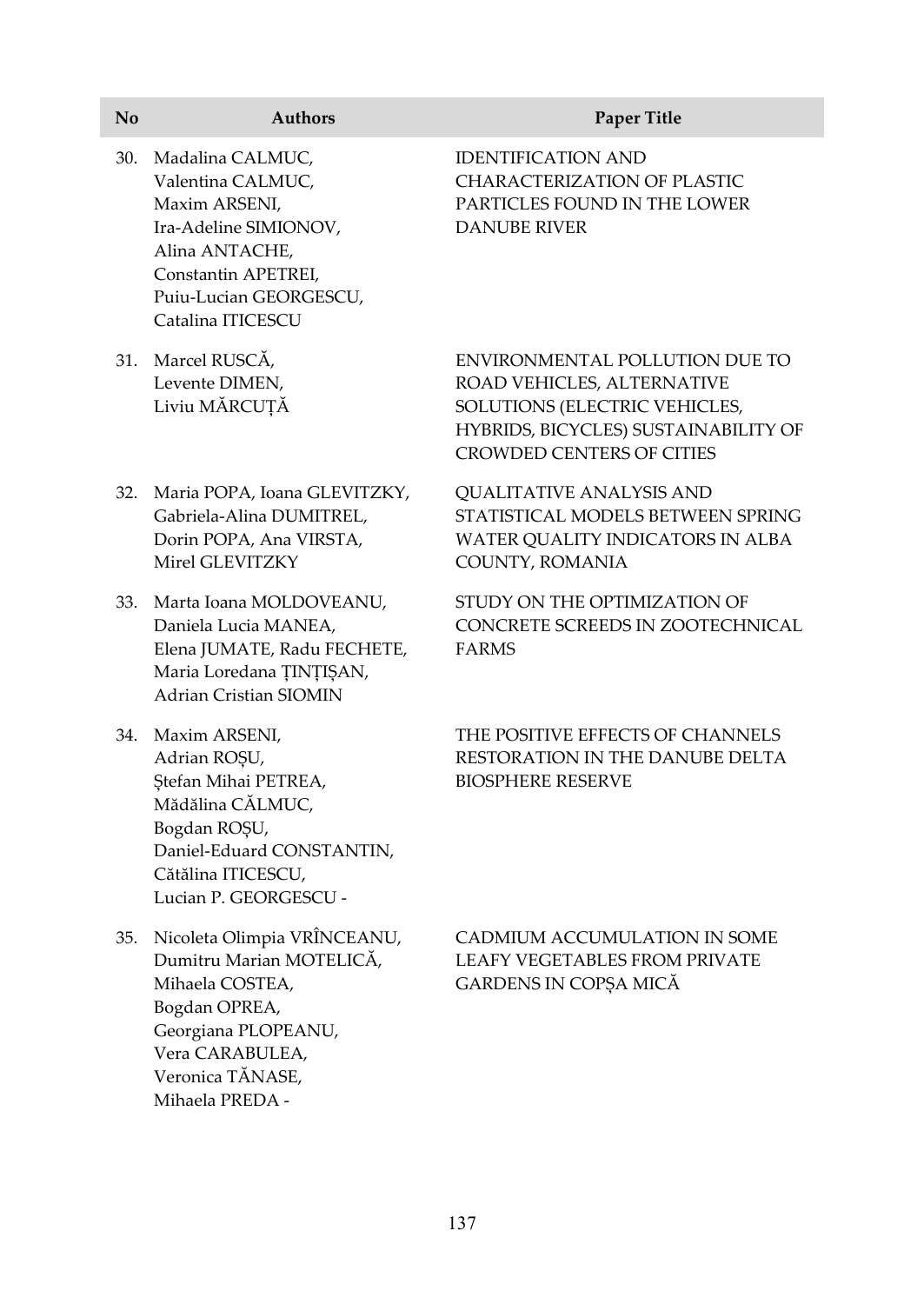| N <sub>0</sub> | <b>Authors</b>                                                                                                                                                                   | Paper Title                                                                                                                                                               |
|----------------|----------------------------------------------------------------------------------------------------------------------------------------------------------------------------------|---------------------------------------------------------------------------------------------------------------------------------------------------------------------------|
| 30.            | Madalina CALMUC,<br>Valentina CALMUC,<br>Maxim ARSENI,<br>Ira-Adeline SIMIONOV,<br>Alina ANTACHE,<br>Constantin APETREI,<br>Puiu-Lucian GEORGESCU,<br>Catalina ITICESCU          | <b>IDENTIFICATION AND</b><br><b>CHARACTERIZATION OF PLASTIC</b><br>PARTICLES FOUND IN THE LOWER<br><b>DANUBE RIVER</b>                                                    |
|                | 31. Marcel RUSCĂ,<br>Levente DIMEN,<br>Liviu MĂRCUȚĂ                                                                                                                             | ENVIRONMENTAL POLLUTION DUE TO<br>ROAD VEHICLES, ALTERNATIVE<br>SOLUTIONS (ELECTRIC VEHICLES,<br>HYBRIDS, BICYCLES) SUSTAINABILITY OF<br><b>CROWDED CENTERS OF CITIES</b> |
| 32.            | Maria POPA, Ioana GLEVITZKY,<br>Gabriela-Alina DUMITREL,<br>Dorin POPA, Ana VIRSTA,<br>Mirel GLEVITZKY                                                                           | <b>QUALITATIVE ANALYSIS AND</b><br>STATISTICAL MODELS BETWEEN SPRING<br>WATER QUALITY INDICATORS IN ALBA<br>COUNTY, ROMANIA                                               |
|                | 33. Marta Ioana MOLDOVEANU,<br>Daniela Lucia MANEA,<br>Elena JUMATE, Radu FECHETE,<br>Maria Loredana ȚINȚIȘAN,<br><b>Adrian Cristian SIOMIN</b>                                  | STUDY ON THE OPTIMIZATION OF<br>CONCRETE SCREEDS IN ZOOTECHNICAL<br><b>FARMS</b>                                                                                          |
|                | 34. Maxim ARSENI,<br>Adrian ROŞU,<br>Ștefan Mihai PETREA,<br>Mădălina CĂLMUC,<br>Bogdan ROŞU,<br>Daniel-Eduard CONSTANTIN,<br>Cătălina ITICESCU,<br>Lucian P. GEORGESCU -        | THE POSITIVE EFFECTS OF CHANNELS<br>RESTORATION IN THE DANUBE DELTA<br><b>BIOSPHERE RESERVE</b>                                                                           |
|                | 35. Nicoleta Olimpia VRÎNCEANU,<br>Dumitru Marian MOTELICĂ,<br>Mihaela COSTEA,<br>Bogdan OPREA,<br>Georgiana PLOPEANU,<br>Vera CARABULEA,<br>Veronica TĂNASE,<br>Mihaela PREDA - | CADMIUM ACCUMULATION IN SOME<br><b>LEAFY VEGETABLES FROM PRIVATE</b><br>GARDENS IN COPȘA MICĂ                                                                             |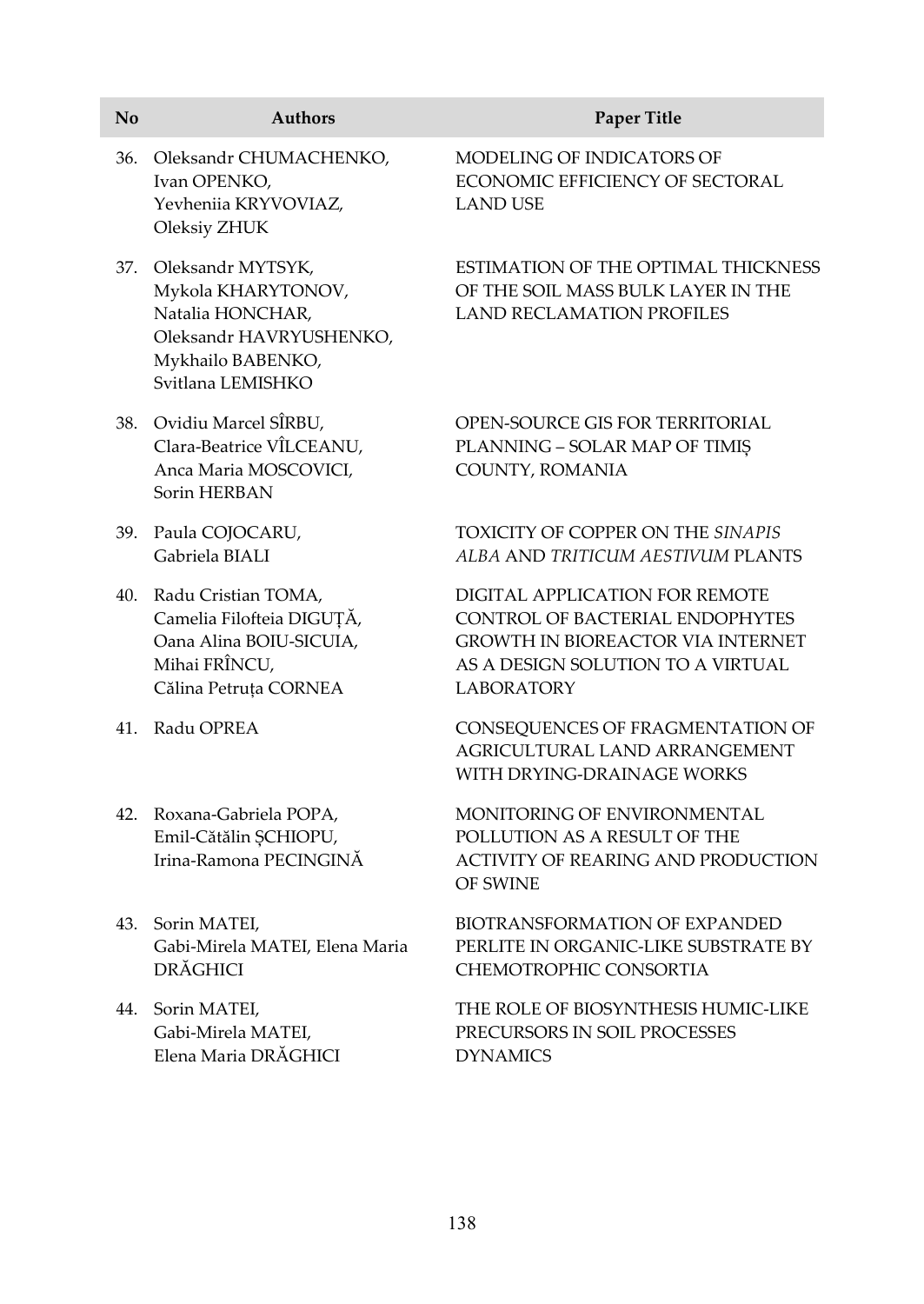| N <sub>o</sub> | <b>Authors</b>                                                                                                                   | Paper Title                                                                                                                                                             |
|----------------|----------------------------------------------------------------------------------------------------------------------------------|-------------------------------------------------------------------------------------------------------------------------------------------------------------------------|
| 36.            | Oleksandr CHUMACHENKO,<br>Ivan OPENKO,<br>Yevheniia KRYVOVIAZ,<br>Oleksiy ZHUK                                                   | MODELING OF INDICATORS OF<br>ECONOMIC EFFICIENCY OF SECTORAL<br><b>LAND USE</b>                                                                                         |
| 37.            | Oleksandr MYTSYK,<br>Mykola KHARYTONOV,<br>Natalia HONCHAR,<br>Oleksandr HAVRYUSHENKO,<br>Mykhailo BABENKO,<br>Svitlana LEMISHKO | ESTIMATION OF THE OPTIMAL THICKNESS<br>OF THE SOIL MASS BULK LAYER IN THE<br><b>LAND RECLAMATION PROFILES</b>                                                           |
|                | 38. Ovidiu Marcel SÎRBU,<br>Clara-Beatrice VÎLCEANU,<br>Anca Maria MOSCOVICI,<br>Sorin HERBAN                                    | OPEN-SOURCE GIS FOR TERRITORIAL<br>PLANNING - SOLAR MAP OF TIMIȘ<br>COUNTY, ROMANIA                                                                                     |
| 39.            | Paula COJOCARU,<br>Gabriela BIALI                                                                                                | TOXICITY OF COPPER ON THE SINAPIS<br>ALBA AND TRITICUM AESTIVUM PLANTS                                                                                                  |
|                | 40. Radu Cristian TOMA,<br>Camelia Filofteia DIGUȚĂ,<br>Oana Alina BOIU-SICUIA,<br>Mihai FRÎNCU,<br>Călina Petruța CORNEA        | DIGITAL APPLICATION FOR REMOTE<br>CONTROL OF BACTERIAL ENDOPHYTES<br><b>GROWTH IN BIOREACTOR VIA INTERNET</b><br>AS A DESIGN SOLUTION TO A VIRTUAL<br><b>LABORATORY</b> |
| 41.            | Radu OPREA                                                                                                                       | CONSEQUENCES OF FRAGMENTATION OF<br>AGRICULTURAL LAND ARRANGEMENT<br>WITH DRYING-DRAINAGE WORKS                                                                         |
|                | 42. Roxana-Gabriela POPA,<br>Emil-Cătălin ȘCHIOPU,<br>Irina-Ramona PECINGINĂ                                                     | MONITORING OF ENVIRONMENTAL<br>POLLUTION AS A RESULT OF THE<br><b>ACTIVITY OF REARING AND PRODUCTION</b><br><b>OF SWINE</b>                                             |
| 43.            | Sorin MATEI,<br>Gabi-Mirela MATEI, Elena Maria<br><b>DRĂGHICI</b>                                                                | BIOTRANSFORMATION OF EXPANDED<br>PERLITE IN ORGANIC-LIKE SUBSTRATE BY<br>CHEMOTROPHIC CONSORTIA                                                                         |
| 44.            | Sorin MATEI,<br>Gabi-Mirela MATEI,<br>Elena Maria DRĂGHICI                                                                       | THE ROLE OF BIOSYNTHESIS HUMIC-LIKE<br>PRECURSORS IN SOIL PROCESSES<br><b>DYNAMICS</b>                                                                                  |
|                |                                                                                                                                  |                                                                                                                                                                         |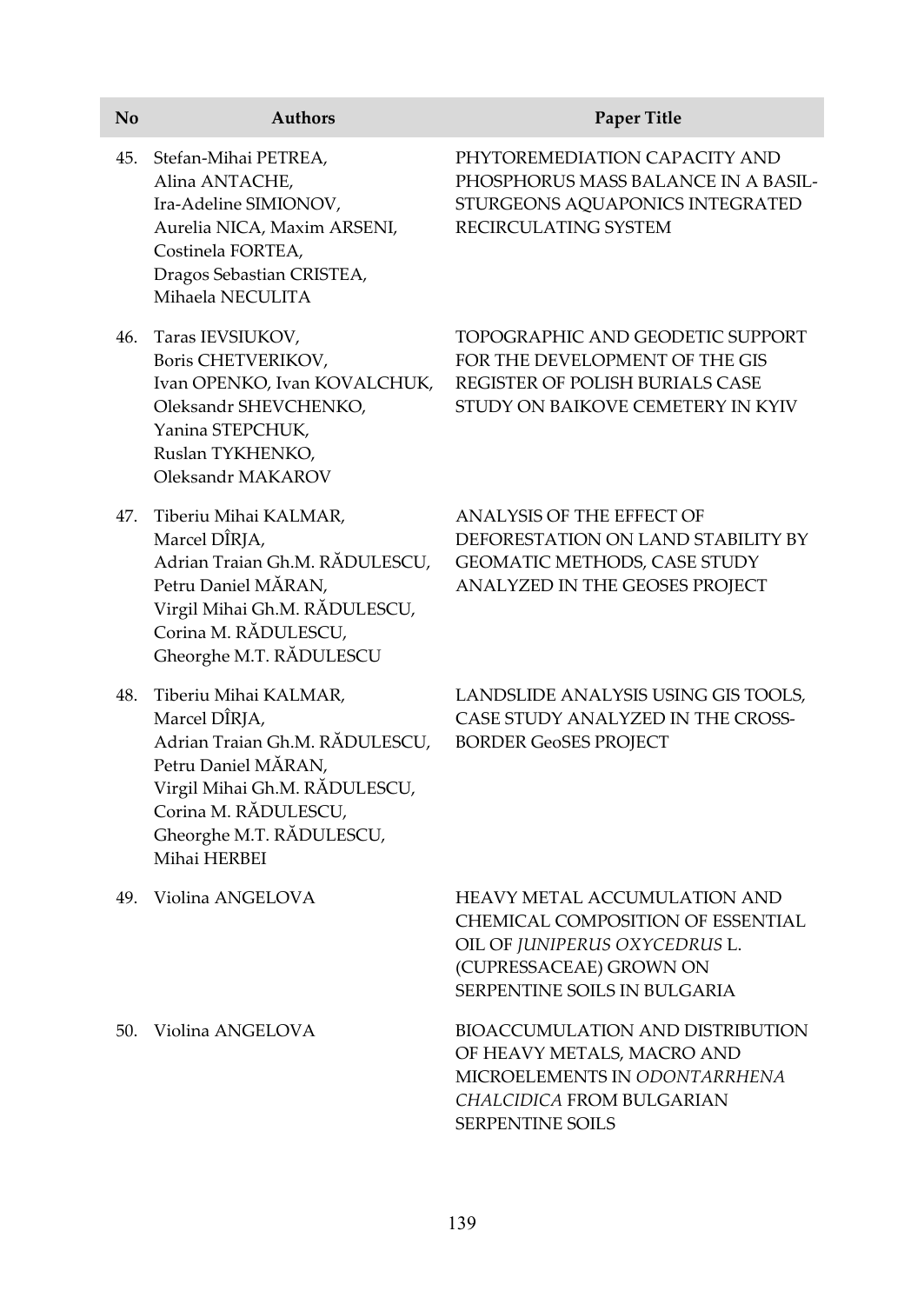| No  | <b>Authors</b>                                                                                                                                                                                       | Paper Title                                                                                                                                                          |
|-----|------------------------------------------------------------------------------------------------------------------------------------------------------------------------------------------------------|----------------------------------------------------------------------------------------------------------------------------------------------------------------------|
| 45. | Stefan-Mihai PETREA,<br>Alina ANTACHE,<br>Ira-Adeline SIMIONOV,<br>Aurelia NICA, Maxim ARSENI,<br>Costinela FORTEA,<br>Dragos Sebastian CRISTEA,<br>Mihaela NECULITA                                 | PHYTOREMEDIATION CAPACITY AND<br>PHOSPHORUS MASS BALANCE IN A BASIL-<br>STURGEONS AQUAPONICS INTEGRATED<br>RECIRCULATING SYSTEM                                      |
| 46. | Taras IEVSIUKOV,<br>Boris CHETVERIKOV,<br>Ivan OPENKO, Ivan KOVALCHUK,<br>Oleksandr SHEVCHENKO,<br>Yanina STEPCHUK,<br>Ruslan TYKHENKO,<br>Oleksandr MAKAROV                                         | TOPOGRAPHIC AND GEODETIC SUPPORT<br>FOR THE DEVELOPMENT OF THE GIS<br>REGISTER OF POLISH BURIALS CASE<br>STUDY ON BAIKOVE CEMETERY IN KYIV                           |
| 47. | Tiberiu Mihai KALMAR,<br>Marcel DÎRJA,<br>Adrian Traian Gh.M. RĂDULESCU,<br>Petru Daniel MĂRAN,<br>Virgil Mihai Gh.M. RĂDULESCU,<br>Corina M. RĂDULESCU,<br>Gheorghe M.T. RADULESCU                  | ANALYSIS OF THE EFFECT OF<br>DEFORESTATION ON LAND STABILITY BY<br>GEOMATIC METHODS, CASE STUDY<br>ANALYZED IN THE GEOSES PROJECT                                    |
| 48. | Tiberiu Mihai KALMAR,<br>Marcel DÎRJA,<br>Adrian Traian Gh.M. RĂDULESCU,<br>Petru Daniel MĂRAN,<br>Virgil Mihai Gh.M. RĂDULESCU,<br>Corina M. RĂDULESCU,<br>Gheorghe M.T. RĂDULESCU,<br>Mihai HERBEI | LANDSLIDE ANALYSIS USING GIS TOOLS,<br>CASE STUDY ANALYZED IN THE CROSS-<br><b>BORDER GeoSES PROJECT</b>                                                             |
| 49. | Violina ANGELOVA                                                                                                                                                                                     | HEAVY METAL ACCUMULATION AND<br>CHEMICAL COMPOSITION OF ESSENTIAL<br>OIL OF JUNIPERUS OXYCEDRUS L.<br>(CUPRESSACEAE) GROWN ON<br><b>SERPENTINE SOILS IN BULGARIA</b> |
| 50. | Violina ANGELOVA                                                                                                                                                                                     | BIOACCUMULATION AND DISTRIBUTION<br>OF HEAVY METALS, MACRO AND<br>MICROELEMENTS IN ODONTARRHENA<br>CHALCIDICA FROM BULGARIAN<br>SERPENTINE SOILS                     |